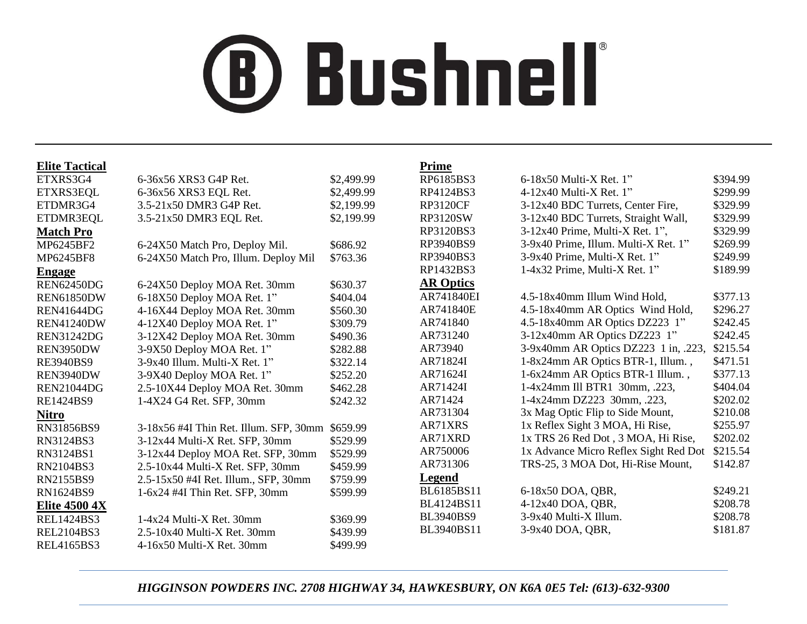# **® Bushnell**

| <b>Elite Tactical</b> |                                        |            | <b>Prime</b>     |                                       |          |
|-----------------------|----------------------------------------|------------|------------------|---------------------------------------|----------|
| ETXRS3G4              | 6-36x56 XRS3 G4P Ret.                  | \$2,499.99 | RP6185BS3        | $6-18x50$ Multi-X Ret. 1"             | \$394.99 |
| ETXRS3EQL             | 6-36x56 XRS3 EQL Ret.                  | \$2,499.99 | RP4124BS3        | $4-12x40$ Multi-X Ret. 1"             | \$299.99 |
| ETDMR3G4              | 3.5-21x50 DMR3 G4P Ret.                | \$2,199.99 | <b>RP3120CF</b>  | 3-12x40 BDC Turrets, Center Fire,     | \$329.99 |
| ETDMR3EQL             | 3.5-21x50 DMR3 EQL Ret.                | \$2,199.99 | <b>RP3120SW</b>  | 3-12x40 BDC Turrets, Straight Wall,   | \$329.99 |
| <b>Match Pro</b>      |                                        |            | RP3120BS3        | 3-12x40 Prime, Multi-X Ret. 1",       | \$329.99 |
| MP6245BF2             | 6-24X50 Match Pro, Deploy Mil.         | \$686.92   | RP3940BS9        | 3-9x40 Prime, Illum. Multi-X Ret. 1"  | \$269.99 |
| MP6245BF8             | 6-24X50 Match Pro, Illum. Deploy Mil   | \$763.36   | RP3940BS3        | 3-9x40 Prime, Multi-X Ret. 1"         | \$249.99 |
| <b>Engage</b>         |                                        |            | RP1432BS3        | 1-4x32 Prime, Multi-X Ret. 1"         | \$189.99 |
| <b>REN62450DG</b>     | 6-24X50 Deploy MOA Ret. 30mm           | \$630.37   | <b>AR Optics</b> |                                       |          |
| <b>REN61850DW</b>     | 6-18X50 Deploy MOA Ret. 1"             | \$404.04   | AR741840EI       | 4.5-18x40mm Illum Wind Hold,          | \$377.13 |
| <b>REN41644DG</b>     | 4-16X44 Deploy MOA Ret. 30mm           | \$560.30   | AR741840E        | 4.5-18x40mm AR Optics Wind Hold,      | \$296.27 |
| <b>REN41240DW</b>     | 4-12X40 Deploy MOA Ret. 1"             | \$309.79   | AR741840         | 4.5-18x40mm AR Optics DZ223 1"        | \$242.45 |
| <b>REN31242DG</b>     | 3-12X42 Deploy MOA Ret. 30mm           | \$490.36   | AR731240         | 3-12x40mm AR Optics DZ223 1"          | \$242.45 |
| REN3950DW             | 3-9X50 Deploy MOA Ret. 1"              | \$282.88   | AR73940          | 3-9x40mm AR Optics DZ223 1 in, .223,  | \$215.54 |
| <b>RE3940BS9</b>      | 3-9x40 Illum. Multi-X Ret. 1"          | \$322.14   | AR71824I         | 1-8x24mm AR Optics BTR-1, Illum.,     | \$471.51 |
| REN3940DW             | 3-9X40 Deploy MOA Ret. 1"              | \$252.20   | AR71624I         | 1-6x24mm AR Optics BTR-1 Illum.,      | \$377.13 |
| <b>REN21044DG</b>     | 2.5-10X44 Deploy MOA Ret. 30mm         | \$462.28   | AR71424I         | 1-4x24mm Ill BTR1 30mm, .223,         | \$404.04 |
| RE1424BS9             | 1-4X24 G4 Ret. SFP, 30mm               | \$242.32   | AR71424          | 1-4x24mm DZ223 30mm, .223,            | \$202.02 |
| <b>Nitro</b>          |                                        |            | AR731304         | 3x Mag Optic Flip to Side Mount,      | \$210.08 |
| RN31856BS9            | 3-18x56 #4I Thin Ret. Illum. SFP, 30mm | \$659.99   | AR71XRS          | 1x Reflex Sight 3 MOA, Hi Rise,       | \$255.97 |
| RN3124BS3             | 3-12x44 Multi-X Ret. SFP, 30mm         | \$529.99   | AR71XRD          | 1x TRS 26 Red Dot, 3 MOA, Hi Rise,    | \$202.02 |
| RN3124BS1             | 3-12x44 Deploy MOA Ret. SFP, 30mm      | \$529.99   | AR750006         | 1x Advance Micro Reflex Sight Red Dot | \$215.54 |
| RN2104BS3             | 2.5-10x44 Multi-X Ret. SFP, 30mm       | \$459.99   | AR731306         | TRS-25, 3 MOA Dot, Hi-Rise Mount,     | \$142.87 |
| RN2155BS9             | 2.5-15x50 #4I Ret. Illum., SFP, 30mm   | \$759.99   | <b>Legend</b>    |                                       |          |
| RN1624BS9             | 1-6x24 #4I Thin Ret. SFP, 30mm         | \$599.99   | BL6185BS11       | 6-18x50 DOA, QBR,                     | \$249.21 |
| <b>Elite 4500 4X</b>  |                                        |            | BL4124BS11       | 4-12x40 DOA, QBR,                     | \$208.78 |
| <b>REL1424BS3</b>     | 1-4x24 Multi-X Ret. 30mm               | \$369.99   | <b>BL3940BS9</b> | 3-9x40 Multi-X Illum.                 | \$208.78 |
| <b>REL2104BS3</b>     | $2.5 - 10x40$ Multi-X Ret. 30mm        | \$439.99   | BL3940BS11       | 3-9x40 DOA, QBR,                      | \$181.87 |
| <b>REL4165BS3</b>     | 4-16x50 Multi-X Ret. 30mm              | \$499.99   |                  |                                       |          |

## *HIGGINSON POWDERS INC. 2708 HIGHWAY 34, HAWKESBURY, ON K6A 0E5 Tel: (613)-632-9300*